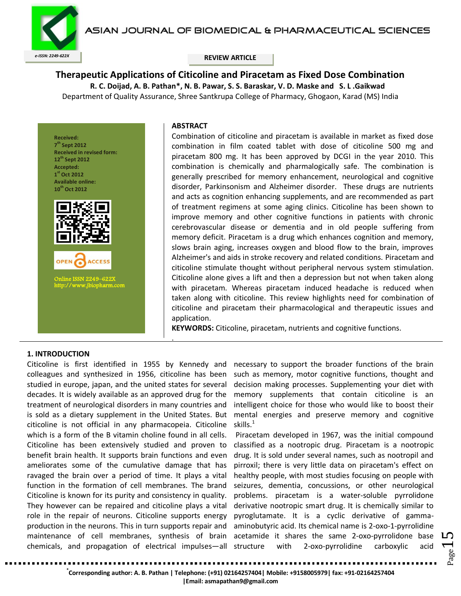ASIAN JOURNAL OF BIOMEDICAL & PHARMACEUTICAL SCIENCES



**Therapeutic Applications of Citicoline and Piracetam as Fixed Dose Combination R. C. Doijad, A. B. Pathan\*, N. B. Pawar, S. S. Baraskar, V. D. Maske and S. L .Gaikwad** Department of Quality Assurance, Shree Santkrupa College of Pharmacy, Ghogaon, Karad (MS) India



Online ISSN 2249–622X [http://www.jbiopharm.com](http://www.jbiopharm.com/) 

**ACCESS** 

#### **ABSTRACT**

.

Combination of citicoline and piracetam is available in market as fixed dose combination in film coated tablet with dose of citicoline 500 mg and piracetam 800 mg. It has been approved by DCGI in the year 2010. This combination is chemically and pharmalogically safe. The combination is generally prescribed for memory enhancement, neurological and cognitive disorder, Parkinsonism and Alzheimer disorder. These drugs are nutrients and acts as cognition enhancing supplements, and are recommended as part of treatment regimens at some aging clinics. Citicoline has been shown to improve memory and other cognitive functions in patients with chronic cerebrovascular disease or dementia and in old people suffering from memory deficit. Piracetam is a drug which enhances cognition and memory, slows brain aging, increases oxygen and blood flow to the brain, improves Alzheimer's and aids in stroke recovery and related conditions. Piracetam and citicoline stimulate thought without peripheral nervous system stimulation. Citicoline alone gives a lift and then a depression but not when taken along with piracetam. Whereas piracetam induced headache is reduced when taken along with citicoline. This review highlights need for combination of citicoline and piracetam their pharmacological and therapeutic issues and application.

**KEYWORDS:** Citicoline, piracetam, nutrients and cognitive functions.

## **1. INTRODUCTION**

Citicoline is first identified in 1955 by Kennedy and colleagues and synthesized in 1956, citicoline has been studied in europe, japan, and the united states for several decades. It is widely available as an approved drug for the treatment of neurological disorders in many countries and is sold as a dietary supplement in the United States. But citicoline is not official in any pharmacopeia. Citicoline which is a form of the B vitamin choline found in all cells. Citicoline has been extensively studied and proven to benefit brain health. It supports brain functions and even ameliorates some of the cumulative damage that has ravaged the brain over a period of time. It plays a vital function in the formation of cell membranes. The brand Citicoline is known for its purity and consistency in quality. They however can be repaired and citicoline plays a vital role in the repair of neurons. Citicoline supports energy production in the neurons. This in turn supports repair and maintenance of cell membranes, synthesis of brain chemicals, and propagation of electrical impulses—all

necessary to support the broader functions of the brain such as memory, motor cognitive functions, thought and decision making processes. Supplementing your diet with memory supplements that contain citicoline is an intelligent choice for those who would like to boost their mental energies and preserve memory and cognitive skills. $1$ 

Piracetam developed in 1967, was the initial compound classified as a nootropic drug. Piracetam is a [nootropic](http://en.wikipedia.org/wiki/Nootropic) drug. It is sold under several names, such as nootropil and pirroxil; there is very little data on piracetam's effect on healthy people, with most studies focusing on people with seizures, dementia, concussions, or other neurological problems. piracetam is a water-soluble pyrrolidone derivative nootropic smart drug. It is chemically similar to pyroglutamate. It is a cyclic derivative of gammaaminobutyric acid. Its chemical name is 2-oxo-1-pyrrolidine acetamide it shares the same 2-oxo-pyrrolidone base structure with [2-oxo-pyrrolidine carboxylic acid](http://en.wikipedia.org/wiki/2-oxo-pyrrolidine_carboxylic_acid)

Page

**\* Corresponding author: A. B. Pathan | Telephone: (+91) 02164257404| Mobile: +9158005979| fax: +91-02164257404**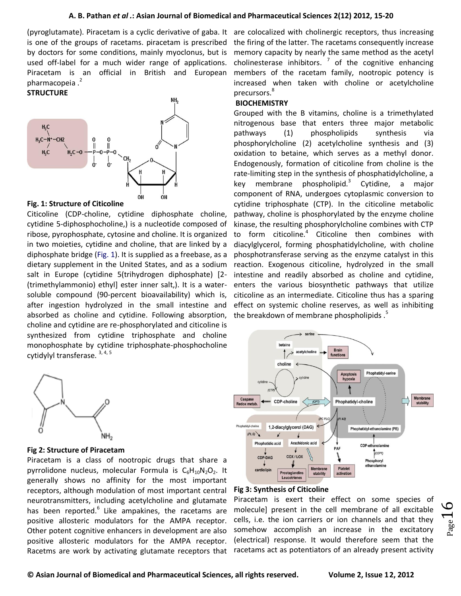## **A. B. Pathan** *et al .***: Asian Journal of Biomedical and Pharmaceutical Sciences 2(12) 2012, 15-20**

[\(pyroglutamate\)](http://en.wikipedia.org/wiki/Pyroglutamate). Piracetam is a cyclic derivative of [gaba.](http://en.wikipedia.org/wiki/GABA) It are colocalized with [cholinergic receptors,](http://en.wikipedia.org/wiki/Cholinergic_receptor) thus increasing is one of the groups of [racetams.](http://en.wikipedia.org/wiki/Racetam) piracetam is prescribed by doctors for some conditions, mainly [myoclonus,](http://en.wikipedia.org/wiki/Myoclonus) but is [used off-label](http://en.wikipedia.org/wiki/Off-label_use) for a much wider range of applications. Piracetam is an official in British and European pharmacopeia.<sup>2</sup>

## **STRUCTURE**



#### **Fig. 1: Structure of Citicoline**

Citicoline (CDP-choline, cytidine diphosphate choline, cytidine 5-diphosphocholine,) is a nucleotide composed of ribose, pyrophosphate, cytosine and choline. It is organized in two moieties, cytidine and choline, that are linked by a diphosphate bridge (Fig. 1). It is supplied as a freebase, as a dietary supplement in the United States, and as a sodium salt in Europe (cytidine 5(trihydrogen diphosphate) [2- (trimethylammonio) ethyl] ester inner salt,). It is a watersoluble compound (90-percent bioavailability) which is, after ingestion hydrolyzed in the small intestine and absorbed as choline and cytidine. Following absorption, choline and cytidine are re-phosphorylated and citicoline is synthesized from cytidine triphosphate and choline monophosphate by cytidine triphosphate-phosphocholine cytidylyl transferase. 3, 4, 5



## **Fig 2: Structure of Piracetam**

Piracetam is a class of [nootropic](http://en.wikipedia.org/wiki/Nootropic) [drugs](http://en.wikipedia.org/wiki/Psychoactive_drug) that share a [pyrrolidone](http://en.wikipedia.org/wiki/2-pyrrolidone) nucleus, molecular Formula is  $C_6H_{10}N_2O_2$  $C_6H_{10}N_2O_2$ . It generally shows no affinity for the most important receptors, although modulation of most important central [neurotransmitters,](http://en.wikipedia.org/wiki/Neurotransmitter) including acetylcholine and glutamate has been reported. $6$  Like [ampakines,](http://en.wikipedia.org/wiki/Ampakines) the racetams are positive allosteric modulators for the [AMPA receptor.](http://en.wikipedia.org/wiki/AMPA_receptor) Other potent cognitive enhancers in development are also positive allosteric modulators for the [AMPA receptor.](http://en.wikipedia.org/wiki/AMPA_receptor) Racetms are work by activating [glutamate receptors](http://en.wikipedia.org/wiki/Glutamate_receptor) that

the firing of the latter. The racetams consequently increase memory capacity by nearly the same method as the [acetyl](http://en.wikipedia.org/wiki/Acetylcholinesterase_inhibitor)  [cholinesterase inhibitors.](http://en.wikipedia.org/wiki/Acetylcholinesterase_inhibitor)  $\frac{7}{1}$  of the cognitive enhancing members of the racetam family, nootropic potency is increased when taken with [choline](http://en.wikipedia.org/wiki/Choline) or acetylcholine precursors.<sup>8</sup>

## **BIOCHEMISTRY**

Grouped with the B vitamins, choline is a trimethylated nitrogenous base that enters three major metabolic pathways (1) phospholipids synthesis via phosphorylcholine (2) acetylcholine synthesis and (3) oxidation to betaine, which serves as a methyl donor. Endogenously, formation of citicoline from choline is the rate-limiting step in the synthesis of phosphatidylcholine, a key membrane phospholipid.<sup>3</sup> Cytidine, a major component of RNA, undergoes cytoplasmic conversion to cytidine triphosphate (CTP). In the citicoline metabolic pathway, choline is phosphorylated by the enzyme choline kinase, the resulting phosphorylcholine combines with CTP to form citicoline.<sup>4</sup> Citicoline then combines with diacylglycerol, forming phosphatidylcholine, with choline phosphotransferase serving as the enzyme catalyst in this reaction. Exogenous citicoline, hydrolyzed in the small intestine and readily absorbed as choline and cytidine, enters the various biosynthetic pathways that utilize citicoline as an intermediate. Citicoline thus has a sparing effect on systemic choline reserves, as well as inhibiting the breakdown of membrane phospholipids.<sup>5</sup>



## **Fig 3: Synthesis of Citicoline**

Piracetam is exert their effect on some species of molecule] present in the cell membrane of all excitable cells, i.e. the ion carriers or ion channels and that they somehow accomplish an increase in the excitatory (electrical) response. It would therefore seem that the racetams act as potentiators of an already present activity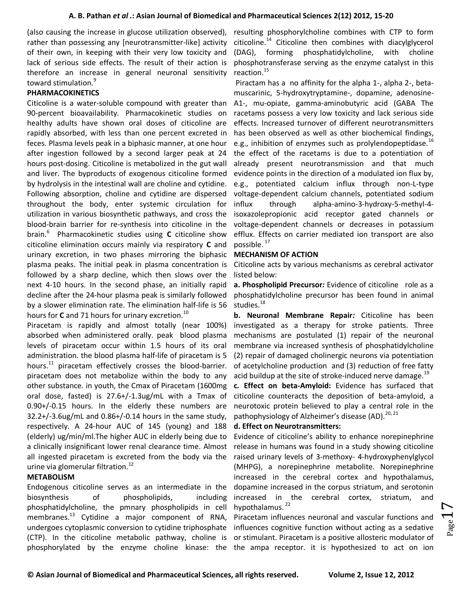(also causing the increase in glucose utilization observed), resulting phosphorylcholine combines with CTP to form rather than possessing any [neurotransmitter-like] activity citicoline.<sup>14</sup> Citicoline then combines with diacylglycerol of their own, in keeping with their very low toxicity and lack of serious side effects. The result of their action is therefore an increase in general neuronal sensitivity toward stimulation.<sup>9</sup>

# **PHARMACOKINETICS**

Citicoline is a water-soluble compound with greater than 90-percent bioavailability. Pharmacokinetic studies on healthy adults have shown oral doses of citicoline are rapidly absorbed, with less than one percent excreted in feces. Plasma levels peak in a biphasic manner, at one hour after ingestion followed by a second larger peak at 24 hours post-dosing. Citicoline is metabolized in the gut wall and liver. The byproducts of exogenous citicoline formed by hydrolysis in the intestinal wall are choline and cytidine. Following absorption, choline and cytidine are dispersed throughout the body, enter systemic circulation for utilization in various biosynthetic pathways, and cross the blood-brain barrier for re-synthesis into citicoline in the brain.<sup>6</sup> Pharmacokinetic studies using **C** citicoline show citicoline elimination occurs mainly via respiratory **C** and urinary excretion, in two phases mirroring the biphasic plasma peaks. The initial peak in plasma concentration is followed by a sharp decline, which then slows over the next 4-10 hours. In the second phase, an initially rapid decline after the 24-hour plasma peak is similarly followed by a slower elimination rate. The elimination half-life is 56 hours for **C** and 71 hours for urinary excretion.<sup>10</sup>

Piracetam is rapidly and almost totally (near 100%) absorbed when administered orally. peak blood plasma levels of piracetam occur within 1.5 hours of its oral administration. the blood plasm[a half-life](http://www.hyperhealth.com/demo/piracetam.htm#lnk0000005E) of piracetam is 5 hours. $11$  piracetam effectively crosses the blood-barrier. piracetam does not metabolize within the body to any other substance. in youth, the Cmax of Piracetam (1600mg oral dose, fasted) is 27.6+/-1.3ug/mL with a Tmax of 0.90+/-0.15 hours. In the elderly these numbers are 32.2+/-3.6ug/mL and 0.86+/-0.14 hours in the same study, respectively. A 24-hour AUC of 145 (young) and 188 (elderly) ug/min/ml.The higher AUC in elderly being due to a clinically insignificant lower renal clearance time. Almost all ingested piracetam is excreted from the body via the urine via glomerular filtration.<sup>12</sup>

## **METABOLISM**

Endogenous citicoline serves as an intermediate in the biosynthesis of phospholipids, including phosphatidylcholine, the pmnary phospholipids in cell membranes.<sup>13</sup> Cytidine a major component of RNA, undergoes cytoplasmic conversion to cytidine triphosphate (CTP). In the citicoline metabolic pathway, choline is phosphorylated by the enzyme choline kinase: the the [ampa receptor.](http://en.wikipedia.org/wiki/AMPA_receptor) it is hypothesized to act on ion

(DAG), forming phosphatidylcholine, with choline phosphotransferase serving as the enzyme catalyst in this reaction.<sup>15</sup>

Piractam has a no affinity for the alpha 1-, alpha 2-, betamuscarinic, 5-hydroxytryptamine-, dopamine, adenosine-A1-, mu-opiate, gamma-aminobutyric acid (GABA The racetams possess a very low toxicity and lack serious side effects. Increased turnover of different neurotransmitters has been observed as well as other biochemical findings, e.g., inhibition of enzymes such as prolylendopeptidase.<sup>16</sup> the effect of the racetams is due to a potentiation of already present neurotransmission and that much evidence points in the direction of a modulated ion flux by, e.g., potentiated calcium influx through non-L-type voltage-dependent calcium channels, potentiated sodium influx through alpha-amino-3-hydroxy-5-methyl-4 isoxazolepropionic acid receptor gated channels or voltage-dependent channels or decreases in potassium efflux. Effects on carrier mediated ion transport are also possible. <sup>17</sup>

## **MECHANISM OF ACTION**

Citicoline acts by various mechanisms as cerebral activator listed below:

**a. Phospholipid Precursor***:* Evidence of citicoline role as a phosphatidylcholine precursor has been found in animal studies.<sup>18</sup>

**b. Neuronal Membrane Repair***:* Citicoline has been investigated as a therapy for stroke patients. Three mechanisms are postulated (1) repair of the neuronal membrane via increased synthesis of phosphatidylcholine (2) repair of damaged cholinergic neurons via potentiation of acetylcholine production and (3) reduction of free fatty acid buildup at the site of stroke-induced nerve damage. $19$ 

**c***.* **Effect on beta-Amyloid:** Evidence has surfaced that citicoline counteracts the deposition of beta-amyloid, a neurotoxic protein believed to play a central role in the pathophysiology of Alzheimer's disease (AD).  $20, 21$ 

## **d. Effect on Neurotransmitters:**

Evidence of citicoline's ability to enhance norepinephrine release in humans was found in a study showing citicoline raised urinary levels of 3-methoxy- 4-hydroxyphenylglycol (MHPG), a norepinephrine metabolite. Norepinephrine increased in the cerebral cortex and hypothalamus, dopamine increased in the corpus striatum, and serotonin increased in the cerebral cortex, striatum, and hypothalamus.<sup>22</sup>

Piracetam influences neuronal and vascular functions and influences cognitive function without acting as a sedative or stimulant. Piracetam is a positiv[e allosteric modulator](http://en.wikipedia.org/wiki/Allosteric_modulator) of

 $_{\rm Page}17$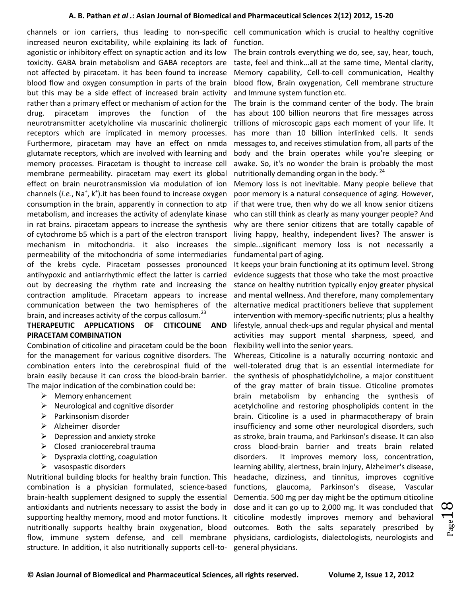channels or [ion carriers,](http://en.wikipedia.org/wiki/Ion_carrier) thus leading to non-specific cell communication which is crucial to healthy cognitive increased neuron excitability, while explaining its lack of [agonistic](http://en.wikipedia.org/wiki/Agonistic) or [inhibitory](http://en.wikipedia.org/wiki/Inhibitory) effect on synaptic action and its low toxicity. [GABA](http://en.wikipedia.org/wiki/GABA) brain metabolism and GABA receptors are not affected by piracetam. it has been found to increase blood flow and oxygen consumption in parts of the brain but this may be a side effect of increased brain activity rather than a primary effect or mechanism of action for the drug. piracetam improves the function of the [neurotransmitter](http://en.wikipedia.org/wiki/Neurotransmitter) [acetylcholine](http://en.wikipedia.org/wiki/Acetylcholine) via [muscarinic](http://en.wikipedia.org/wiki/Muscarinic) [cholinergic](http://en.wikipedia.org/wiki/Cholinergic) receptors which are implicated in [memory](http://en.wikipedia.org/wiki/Memory) processes. Furthermore, piracetam may have an effect on [nmda](http://en.wikipedia.org/wiki/NMDA) [glutamate](http://en.wikipedia.org/wiki/Glutamate) receptors, which are involved with [learning](http://en.wikipedia.org/wiki/Learning) and [memory](http://en.wikipedia.org/wiki/Memory) processes. Piracetam is thought to increase cell membrane permeability. piracetam may exert its global effect on brain neurotransmission via modulation of [ion](http://en.wikipedia.org/wiki/Ion_channel)  [channels](http://en.wikipedia.org/wiki/Ion_channel) (i.e., Na<sup>+</sup>, k<sup>+</sup>).it has been found to increase oxygen consumption in the brain, apparently in connection to [atp](http://en.wikipedia.org/wiki/Adenosine_triphosphate) metabolism, and increases the activity of [adenylate kinase](http://en.wikipedia.org/wiki/Adenylate_kinase) in rat brains. piracetam appears to increase the synthesis of [cytochrome b5](http://en.wikipedia.org/wiki/Cytochrome_b5) which is a part of the [electron transport](http://en.wikipedia.org/wiki/Electron_transport) mechanism in [mitochondria.](http://en.wikipedia.org/wiki/Mitochondria) it also increases the permeability of the mitochondria of some intermediaries of the [krebs cycle.](http://en.wikipedia.org/wiki/Krebs_cycle) Piracetam possesses pronounced antihypoxic and antiarrhythmic effect the latter is carried out by decreasing the rhythm rate and increasing the contraction amplitude. Piracetam appears to increase communication between the two hemispheres of the brain, and increases activity of the [corpus callosum.](http://en.wikipedia.org/wiki/Corpus_callosum)<sup>23</sup>

# **THERAPEUTIC APPLICATIONS OF CITICOLINE AND PIRACETAM COMBINATION**

Combination of citicoline and piracetam could be the boon for the management for various cognitive disorders. The combination enters into the cerebrospinal fluid of the brain easily because it can cross the blood-brain barrier. The major indication of the combination could be:

- $\triangleright$  Memory enhancement
- $\triangleright$  Neurological and cognitive disorder
- $\triangleright$  Parkinsonism disorder
- > Alzheimer disorder
- $\triangleright$  Depression and anxiety stroke
- $\triangleright$  Closed craniocerebral trauma
- $\triangleright$  Dyspraxia clotting, coagulation
- $\triangleright$  vasospastic disorders

Nutritional building blocks for healthy brain function. This combination is a physician formulated, science-based brain-health supplement designed to supply the essential antioxidants and nutrients necessary to assist the body in supporting healthy memory, mood and motor functions. It nutritionally supports healthy brain oxygenation, blood flow, immune system defense, and cell membrane structure. In addition, it also nutritionally supports cell-to-

function.

The brain controls everything we do, see, say, hear, touch, taste, feel and think...all at the same time, Mental clarity, Memory capability, Cell-to-cell communication, Healthy blood flow, Brain oxygenation, Cell membrane structure and Immune system function etc.

The brain is the command center of the body. The brain has about 100 billion neurons that fire messages across trillions of microscopic gaps each moment of your life. It has more than 10 billion interlinked cells. It sends messages to, and receives stimulation from, all parts of the body and the brain operates while you're sleeping or awake. So, it's no wonder the brain is probably the most nutritionally demanding organ in the body.<sup>24</sup>

Memory loss is not inevitable. Many people believe that poor memory is a natural consequence of aging. However, if that were true, then why do we all know senior citizens who can still think as clearly as many younger people? And why are there senior citizens that are totally capable of living happy, healthy, independent lives? The answer is simple...significant memory loss is not necessarily a fundamental part of aging.

It keeps your brain functioning at its optimum level. Strong evidence suggests that those who take the most proactive stance on healthy nutrition typically enjoy greater physical and mental wellness. And therefore, many complementary alternative medical practitioners believe that supplement intervention with memory-specific nutrients; plus a healthy lifestyle, annual check-ups and regular physical and mental activities may support mental sharpness, speed, and flexibility well into the senior years.

Whereas, Citicoline is a naturally occurring nontoxic and well-tolerated drug that is an essential intermediate for the synthesis of phosphatidylcholine, a major constituent of the gray matter of brain tissue. Citicoline promotes brain metabolism by enhancing the synthesis of acetylcholine and restoring phospholipids content in the brain. Citicoline is a used in pharmacotherapy of brain insufficiency and some other neurological disorders, such as stroke, brain trauma, and Parkinson's disease. It can also cross blood-brain barrier and treats brain related disorders. It improves memory loss, concentration, learning ability, alertness, brain injury, Alzheimer's disease, headache, dizziness, and tinnitus, improves cognitive functions, glaucoma, Parkinson's disease, Vascular Dementia. 500 mg per day might be the optimum citicoline dose and it can go up to 2,000 mg. It was concluded that citicoline modestly improves memory and behavioral outcomes. Both the salts separately prescribed by physicians, cardiologists, dialectologists, neurologists and general physicians.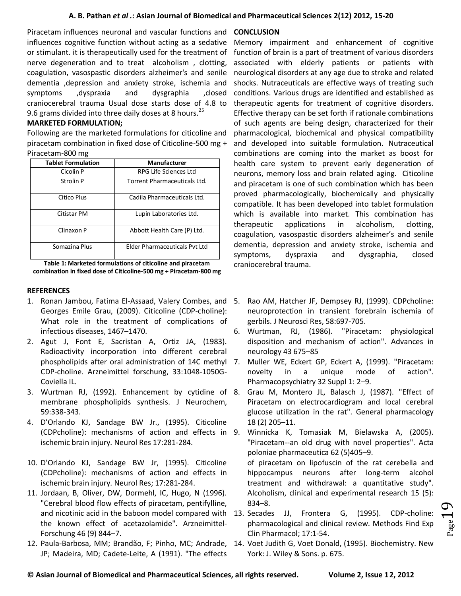Piracetam influences neuronal and vascular functions and **CONCLUSION** influences cognitive function without acting as a sedative or stimulant. it is therapeutically used for the treatment of nerve degeneration and to treat alcoholism , clotting, coagulation, vasospastic disorders alzheimer's and senile dementia ,depression and anxiety stroke, ischemia and symptoms ,dyspraxia and dysgraphia ,closed craniocerebral trauma Usual dose starts dose of 4.8 to 9.6 grams divided into three daily doses at 8 hours.<sup>25</sup>

# **MARKETED FORMULATION;**

Following are the marketed formulations for citicoline and piracetam combination in fixed dose of Citicoline-500 mg + Piracetam-800 mg

| <b>Tablet Formulation</b> | Manufacturer                         |
|---------------------------|--------------------------------------|
| Cicolin P                 | RPG Life Sciences Ltd                |
| Strolin P                 | Torrent Pharmaceuticals Ltd.         |
| Citico Plus               | Cadila Pharmaceuticals Ltd.          |
| Citistar PM               | Lupin Laboratories Ltd.              |
| Clinaxon P                | Abbott Health Care (P) Ltd.          |
| Somazina Plus             | <b>Elder Pharmaceuticals Pvt Ltd</b> |

**Table 1: Marketed formulations of citicoline and piracetam combination in fixed dose of Citicoline-500 mg + Piracetam-800 mg**

# **REFERENCES**

- 1. Ronan Jambou, Fatima El-Assaad, Valery Combes, and Georges Emile Grau, (2009). Citicoline (CDP-choline): What role in the treatment of complications of infectious diseases, 1467–1470.
- 2. Agut J, Font E, Sacristan A, Ortiz JA, (1983). Radioactivity incorporation into different cerebral phospholipids after oral administration of 14C methyl CDP-choline. Arzneimittel forschung, 33:1048-1050G-Coviella IL.
- 3. Wurtman RJ, (1992). Enhancement by cytidine of membrane phospholipids synthesis. J Neurochem, 59:338-343.
- 4. D'Orlando KJ, Sandage BW Jr., (1995). Citicoline (CDPcholine): mechanisms of action and effects in ischemic brain injury. Neurol Res 17:281-284.
- 10. D'Orlando KJ, Sandage BW Jr, (1995). Citicoline (CDPcholine): mechanisms of action and effects in ischemic brain injury. Neurol Res; 17:281-284.
- 11. Jordaan, B, Oliver, DW, Dormehl, IC, Hugo, N (1996). "Cerebral blood flow effects of piracetam, pentifylline, the known effect of acetazolamide". Arzneimittel-Forschung 46 (9) 844–7.
- 12. Paula-Barbosa, MM; Brandão, F; Pinho, MC; Andrade, JP; Madeira, MD; Cadete-Leite, A (1991). "The effects

Memory impairment and enhancement of cognitive function of brain is a part of treatment of various disorders associated with elderly patients or patients with neurological disorders at any age due to stroke and related shocks. Nutraceuticals are effective ways of treating such conditions. Various drugs are identified and established as therapeutic agents for treatment of cognitive disorders. Effective therapy can be set forth if rationale combinations of such agents are being design, characterized for their pharmacological, biochemical and physical compatibility and developed into suitable formulation. Nutraceutical combinations are coming into the market as boost for health care system to prevent early degeneration of neurons, memory loss and brain related aging. Citicoline and piracetam is one of such combination which has been proved pharmacologically, biochemically and physically compatible. It has been developed into tablet formulation which is available into market. This combination has therapeutic applications in alcoholism, clotting, coagulation, vasospastic disorders alzheimer's and senile dementia, depression and anxiety stroke, ischemia and symptoms, dyspraxia and dysgraphia, closed craniocerebral trauma.

- Rao AM, Hatcher JF, Dempsey RJ, (1999). CDPcholine: neuroprotection in transient forebrain ischemia of gerbils. J Neurosci Res, 58:697-705.
- 6. Wurtman, RJ, (1986). "Piracetam: physiological disposition and mechanism of action". Advances in neurology 43 675–85
- Muller WE, Eckert GP, Eckert A, (1999). "Piracetam: novelty in a unique mode of action". Pharmacopsychiatry 32 Suppl 1: 2–9.
- Grau M, Montero JL, Balasch J, (1987). "Effect of Piracetam on electrocardiogram and local cerebral glucose utilization in the rat". General pharmacology 18 (2) 205–11.
- 9. Winnicka K, Tomasiak M, Bielawska A, (2005). "Piracetam--an old drug with novel properties". Acta poloniae pharmaceutica 62 (5)405–9.

of piracetam on lipofuscin of the rat cerebella and hippocampus neurons after long-term alcohol treatment and withdrawal: a quantitative study". Alcoholism, clinical and experimental research 15 (5): 834–8.

- and nicotinic acid in the baboon model compared with 13. Secades JJ, Frontera G, (1995). CDP-choline: pharmacological and clinical review. Methods Find Exp Clin Pharmacol; 17:1-54.
	- 14. Voet Judith G, Voet Donald, (1995). Biochemistry. New York: J. Wiley & Sons. p. 675.

 $Page1$